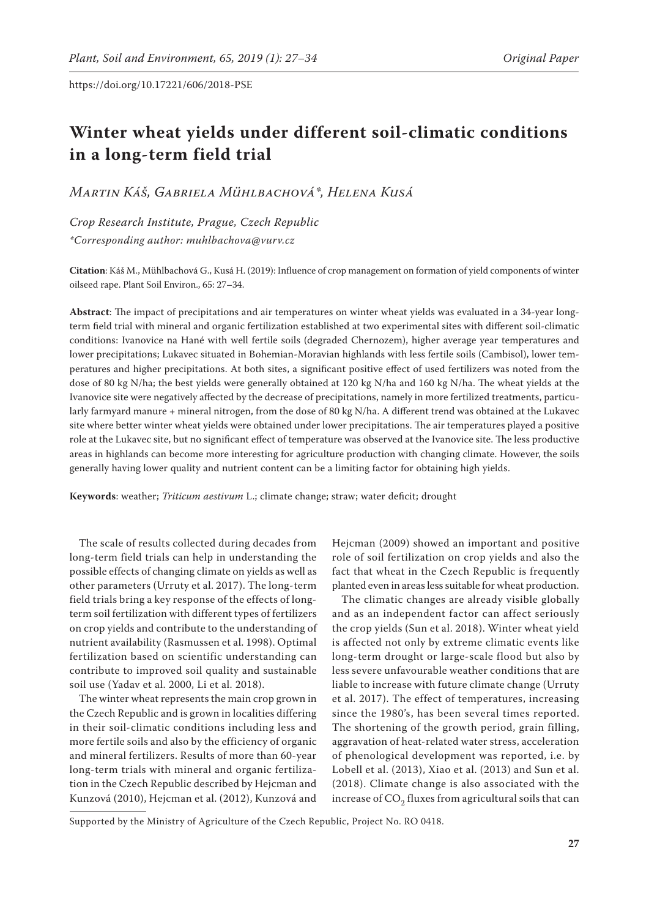# **Winter wheat yields under different soil-climatic conditions in a long-term field trial**

*Martin Káš, Gabriela Mühlbachová\*, Helena Kusá*

*Crop Research Institute, Prague, Czech Republic \*Corresponding author: muhlbachova@vurv.cz*

**Citation**: Káš M., Mühlbachová G., Kusá H. (2019): Influence of crop management on formation of yield components of winter oilseed rape. Plant Soil Environ., 65: 27–34.

**Abstract**: The impact of precipitations and air temperatures on winter wheat yields was evaluated in a 34-year longterm field trial with mineral and organic fertilization established at two experimental sites with different soil-climatic conditions: Ivanovice na Hané with well fertile soils (degraded Chernozem), higher average year temperatures and lower precipitations; Lukavec situated in Bohemian-Moravian highlands with less fertile soils (Cambisol), lower temperatures and higher precipitations. At both sites, a significant positive effect of used fertilizers was noted from the dose of 80 kg N/ha; the best yields were generally obtained at 120 kg N/ha and 160 kg N/ha. The wheat yields at the Ivanovice site were negatively affected by the decrease of precipitations, namely in more fertilized treatments, particularly farmyard manure + mineral nitrogen, from the dose of 80 kg N/ha. A different trend was obtained at the Lukavec site where better winter wheat yields were obtained under lower precipitations. The air temperatures played a positive role at the Lukavec site, but no significant effect of temperature was observed at the Ivanovice site. The less productive areas in highlands can become more interesting for agriculture production with changing climate. However, the soils generally having lower quality and nutrient content can be a limiting factor for obtaining high yields.

**Keywords**: weather; *Triticum aestivum* L.; climate change; straw; water deficit; drought

The scale of results collected during decades from long-term field trials can help in understanding the possible effects of changing climate on yields as well as other parameters (Urruty et al. 2017). The long-term field trials bring a key response of the effects of longterm soil fertilization with different types of fertilizers on crop yields and contribute to the understanding of nutrient availability (Rasmussen et al. 1998). Optimal fertilization based on scientific understanding can contribute to improved soil quality and sustainable soil use (Yadav et al. 2000, Li et al. 2018).

The winter wheat represents the main crop grown in the Czech Republic and is grown in localities differing in their soil-climatic conditions including less and more fertile soils and also by the efficiency of organic and mineral fertilizers. Results of more than 60-year long-term trials with mineral and organic fertilization in the Czech Republic described by Hejcman and Kunzová (2010), Hejcman et al. (2012), Kunzová and

Hejcman (2009) showed an important and positive role of soil fertilization on crop yields and also the fact that wheat in the Czech Republic is frequently planted even in areas less suitable for wheat production.

The climatic changes are already visible globally and as an independent factor can affect seriously the crop yields (Sun et al. 2018). Winter wheat yield is affected not only by extreme climatic events like long-term drought or large-scale flood but also by less severe unfavourable weather conditions that are liable to increase with future climate change (Urruty et al. 2017). The effect of temperatures, increasing since the 1980's, has been several times reported. The shortening of the growth period, grain filling, aggravation of heat-related water stress, acceleration of phenological development was reported, i.e. by Lobell et al. (2013), Xiao et al. (2013) and Sun et al. (2018). Climate change is also associated with the increase of  $CO<sub>2</sub>$  fluxes from agricultural soils that can

Supported by the Ministry of Agriculture of the Czech Republic, Project No. RO 0418.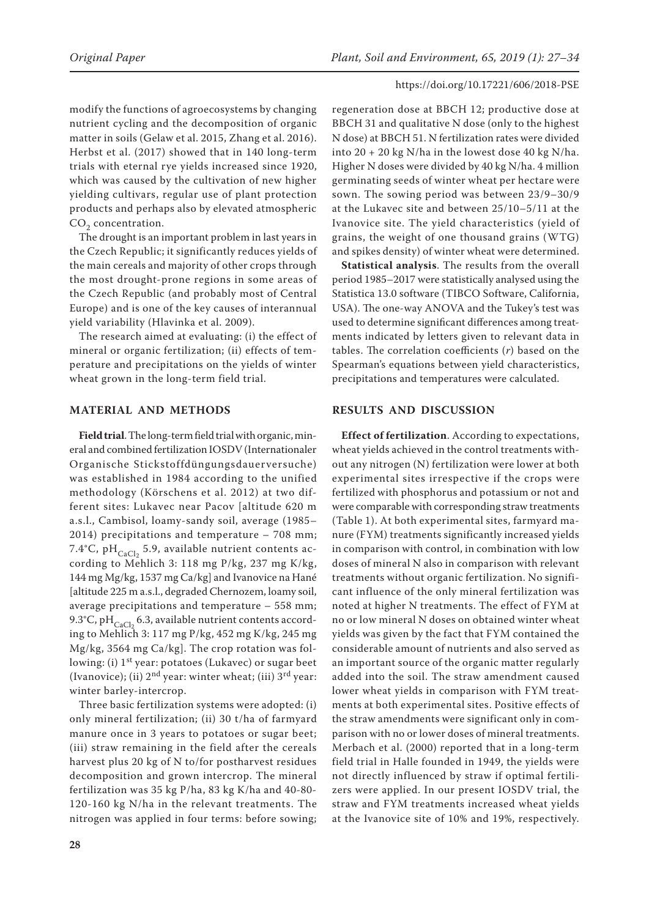modify the functions of agroecosystems by changing nutrient cycling and the decomposition of organic matter in soils (Gelaw et al. 2015, Zhang et al. 2016). Herbst et al. (2017) showed that in 140 long-term trials with eternal rye yields increased since 1920, which was caused by the cultivation of new higher yielding cultivars, regular use of plant protection products and perhaps also by elevated atmospheric CO<sub>2</sub> concentration.

The drought is an important problem in last years in the Czech Republic; it significantly reduces yields of the main cereals and majority of other crops through the most drought-prone regions in some areas of the Czech Republic (and probably most of Central Europe) and is one of the key causes of interannual yield variability (Hlavinka et al. 2009).

The research aimed at evaluating: (i) the effect of mineral or organic fertilization; (ii) effects of temperature and precipitations on the yields of winter wheat grown in the long-term field trial.

## **MATERIAL AND METHODS**

**Field trial**. The long-term field trial with organic, mineral and combined fertilization IOSDV (Internationaler Organische Stickstoffdüngungsdauerversuche) was established in 1984 according to the unified methodology (Körschens et al. 2012) at two different sites: Lukavec near Pacov [altitude 620 m a.s.l., Cambisol, loamy-sandy soil, average (1985– 2014) precipitations and temperature – 708 mm; 7.4°C, pH $_{\rm CaCl_2}$  5.9, available nutrient contents according to Mehlich 3: 118 mg P/kg, 237 mg K/kg, 144 mg Mg/kg, 1537 mg Ca/kg] and Ivanovice na Hané [altitude 225 m a.s.l., degraded Chernozem, loamy soil, average precipitations and temperature – 558 mm; 9.3°C, pH $_{\text{CaCl}_2}$  6.3, available nutrient contents according to Mehlich 3: 117 mg P/kg, 452 mg K/kg, 245 mg Mg/kg, 3564 mg Ca/kg]. The crop rotation was following: (i) 1<sup>st</sup> year: potatoes (Lukavec) or sugar beet (Ivanovice); (ii)  $2<sup>nd</sup>$  year: winter wheat; (iii)  $3<sup>rd</sup>$  year: winter barley-intercrop.

Three basic fertilization systems were adopted: (i) only mineral fertilization; (ii) 30 t/ha of farmyard manure once in 3 years to potatoes or sugar beet; (iii) straw remaining in the field after the cereals harvest plus 20 kg of N to/for postharvest residues decomposition and grown intercrop. The mineral fertilization was 35 kg P/ha, 83 kg K/ha and 40-80- 120-160 kg N/ha in the relevant treatments. The nitrogen was applied in four terms: before sowing;

regeneration dose at BBCH 12; productive dose at BBCH 31 and qualitative N dose (only to the highest N dose) at BBCH 51. N fertilization rates were divided into  $20 + 20$  kg N/ha in the lowest dose 40 kg N/ha. Higher N doses were divided by 40 kg N/ha. 4 million germinating seeds of winter wheat per hectare were sown. The sowing period was between 23/9–30/9 at the Lukavec site and between 25/10–5/11 at the Ivanovice site. The yield characteristics (yield of grains, the weight of one thousand grains (WTG) and spikes density) of winter wheat were determined.

**Statistical analysis**. The results from the overall period 1985–2017 were statistically analysed using the Statistica 13.0 software (TIBCO Software, California, USA). The one-way ANOVA and the Tukey's test was used to determine significant differences among treatments indicated by letters given to relevant data in tables. The correlation coefficients (*r*) based on the Spearman's equations between yield characteristics, precipitations and temperatures were calculated.

### **RESULTS AND DISCUSSION**

**Effect of fertilization**. According to expectations, wheat yields achieved in the control treatments without any nitrogen (N) fertilization were lower at both experimental sites irrespective if the crops were fertilized with phosphorus and potassium or not and were comparable with corresponding straw treatments (Table 1). At both experimental sites, farmyard manure (FYM) treatments significantly increased yields in comparison with control, in combination with low doses of mineral N also in comparison with relevant treatments without organic fertilization. No significant influence of the only mineral fertilization was noted at higher N treatments. The effect of FYM at no or low mineral N doses on obtained winter wheat yields was given by the fact that FYM contained the considerable amount of nutrients and also served as an important source of the organic matter regularly added into the soil. The straw amendment caused lower wheat yields in comparison with FYM treatments at both experimental sites. Positive effects of the straw amendments were significant only in comparison with no or lower doses of mineral treatments. Merbach et al. (2000) reported that in a long-term field trial in Halle founded in 1949, the yields were not directly influenced by straw if optimal fertilizers were applied. In our present IOSDV trial, the straw and FYM treatments increased wheat yields at the Ivanovice site of 10% and 19%, respectively.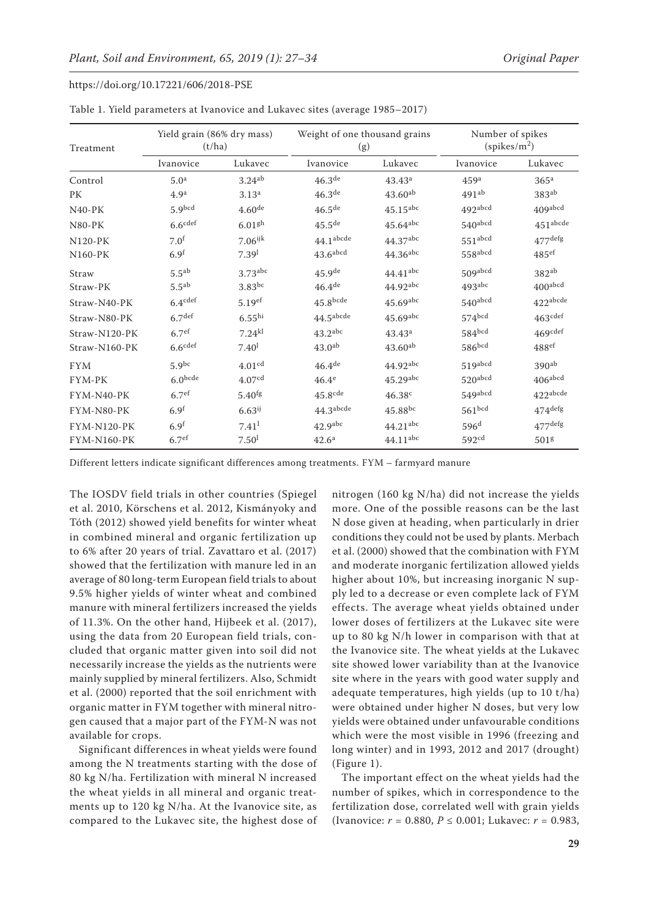| Treatment          | Yield grain (86% dry mass)<br>(t/ha) |                       | Weight of one thousand grains<br>(g) |                        | Number of spikes<br>(spikes/m <sup>2</sup> ) |                       |
|--------------------|--------------------------------------|-----------------------|--------------------------------------|------------------------|----------------------------------------------|-----------------------|
|                    | Ivanovice                            | Lukavec               | Ivanovice                            | Lukavec                | Ivanovice                                    | Lukavec               |
| Control            | 5.0 <sup>a</sup>                     | 3.24 <sup>ab</sup>    | 46.3 <sup>de</sup>                   | 43.43 <sup>a</sup>     | 459 <sup>a</sup>                             | 365 <sup>a</sup>      |
| PК                 | 4.9 <sup>a</sup>                     | 3.13 <sup>a</sup>     | 46.3 <sup>de</sup>                   | $43.60^{ab}$           | 491 <sup>ab</sup>                            | $383^{ab}$            |
| $N40-PK$           | 5.9 <sub>bcd</sub>                   | $4.60$ de             | 46.5 <sup>de</sup>                   | $45.15$ <sup>abc</sup> | 492abcd                                      | 409abcd               |
| <b>N80-PK</b>      | $6.6$ cdef                           | 6.01 <sup>gh</sup>    | $45.5^{\text{de}}$                   | $45.64$ <sup>abc</sup> | $540$ abcd                                   | $451^{\rm abcde}$     |
| $N120-PK$          | 7.0 <sup>f</sup>                     | $7.06$ <sup>ijk</sup> | 44.1 <sup>abcde</sup>                | 44.37abc               | 551abcd                                      | $477$ defg            |
| $N160-PK$          | 6.9 <sup>f</sup>                     | 7.39 <sup>1</sup>     | $43.6$ abcd                          | $44.36$ <sup>abc</sup> | 558abcd                                      | 485 <sup>ef</sup>     |
| Straw              | $5.5^{ab}$                           | $3.73$ abc            | 45.9 <sup>de</sup>                   | $44.41$ <sup>abc</sup> | 509abcd                                      | $382^{ab}$            |
| Straw-PK           | $5.5^{ab}$                           | $3.83^{bc}$           | $46.4$ <sup>de</sup>                 | 44.92abc               | $493$ abc                                    | 400 <sup>abcd</sup>   |
| Straw-N40-PK       | 6.4 <sup>cdef</sup>                  | 5.19 <sup>ef</sup>    | $45.8$ bcde                          | $45.69$ abc            | $540$ abcd                                   | 422abcde              |
| Straw-N80-PK       | 6.7 <sup>def</sup>                   | 6.55 <sup>hi</sup>    | 44.5 <sup>abcde</sup>                | $45.69$ abc            | 574bcd                                       | 463 <sup>cdef</sup>   |
| Straw-N120-PK      | 6.7 <sup>ef</sup>                    | $7.24^{kl}$           | $43.2$ <sup>abc</sup>                | 43.43 <sup>a</sup>     | 584 <sup>bcd</sup>                           | 469cdef               |
| Straw-N160-PK      | $6.6$ cdef                           | 7.40 <sup>1</sup>     | 43.0 <sup>ab</sup>                   | $43.60^{ab}$           | 586bcd                                       | 488 <sup>ef</sup>     |
| <b>FYM</b>         | $5.9^{bc}$                           | 4.01 <sup>cd</sup>    | 46.4 <sup>de</sup>                   | 44.92abc               | $519$ abcd                                   | 390 <sup>ab</sup>     |
| FYM-PK             | 6.0 <sub>bcde</sub>                  | 4.07 <sup>cd</sup>    | 46.4 <sup>e</sup>                    | $45.29$ abc            | $520$ abcd                                   | $406$ abcd            |
| $FYM-N40-PK$       | 6.7 <sup>ef</sup>                    | $5.40$ <sup>fg</sup>  | $45.8$ cde                           | 46.38c                 | 549abcd                                      | 422abcde              |
| FYM-N80-PK         | 6.9 <sup>f</sup>                     | $6.63^{ij}$           | 44.3 <sup>abcde</sup>                | $45.88^{bc}$           | 561 <sup>bcd</sup>                           | $474$ <sup>defg</sup> |
| <b>FYM-N120-PK</b> | 6.9 <sup>f</sup>                     | 7.41 <sup>1</sup>     | 42.9 <sup>abc</sup>                  | $44.21$ <sup>abc</sup> | 596 <sup>d</sup>                             | $477$ defg            |
| <b>FYM-N160-PK</b> | 6.7 <sup>ef</sup>                    | 7.50 <sup>1</sup>     | 42.6 <sup>a</sup>                    | $44.11$ <sup>abc</sup> | 592 <sup>cd</sup>                            | 501g                  |

| Table 1. Yield parameters at Ivanovice and Lukavec sites (average 1985-2017) |  |  |  |
|------------------------------------------------------------------------------|--|--|--|
|------------------------------------------------------------------------------|--|--|--|

Different letters indicate significant differences among treatments. FYM – farmyard manure

The IOSDV field trials in other countries (Spiegel et al. 2010, Körschens et al. 2012, Kismányoky and Tóth (2012) showed yield benefits for winter wheat in combined mineral and organic fertilization up to 6% after 20 years of trial. Zavattaro et al. (2017) showed that the fertilization with manure led in an average of 80 long-term European field trials to about 9.5% higher yields of winter wheat and combined manure with mineral fertilizers increased the yields of 11.3%. On the other hand, Hijbeek et al. (2017), using the data from 20 European field trials, concluded that organic matter given into soil did not necessarily increase the yields as the nutrients were mainly supplied by mineral fertilizers. Also, Schmidt et al. (2000) reported that the soil enrichment with organic matter in FYM together with mineral nitrogen caused that a major part of the FYM-N was not available for crops.

Significant differences in wheat yields were found among the N treatments starting with the dose of 80 kg N/ha. Fertilization with mineral N increased the wheat yields in all mineral and organic treatments up to 120 kg N/ha. At the Ivanovice site, as compared to the Lukavec site, the highest dose of

nitrogen (160 kg N/ha) did not increase the yields more. One of the possible reasons can be the last N dose given at heading, when particularly in drier conditions they could not be used by plants. Merbach et al. (2000) showed that the combination with FYM and moderate inorganic fertilization allowed yields higher about 10%, but increasing inorganic N supply led to a decrease or even complete lack of FYM effects. The average wheat yields obtained under lower doses of fertilizers at the Lukavec site were up to 80 kg N/h lower in comparison with that at the Ivanovice site. The wheat yields at the Lukavec site showed lower variability than at the Ivanovice site where in the years with good water supply and adequate temperatures, high yields (up to 10 t/ha) were obtained under higher N doses, but very low yields were obtained under unfavourable conditions which were the most visible in 1996 (freezing and long winter) and in 1993, 2012 and 2017 (drought) (Figure 1).

The important effect on the wheat yields had the number of spikes, which in correspondence to the fertilization dose, correlated well with grain yields (Ivanovice: *r* = 0.880, *P* ≤ 0.001; Lukavec: *r* = 0.983,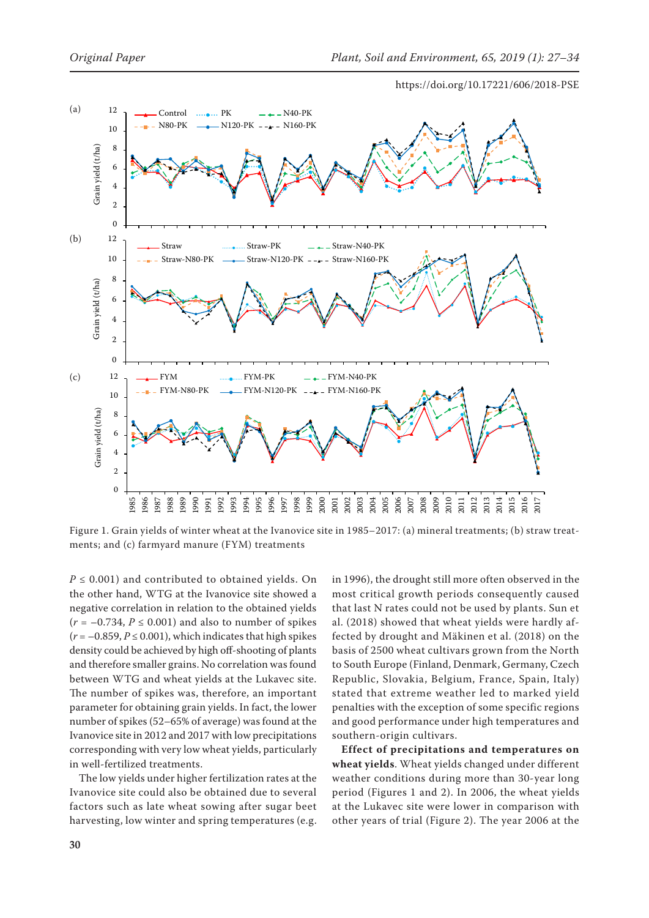

Figure 1. Grain yields of winter wheat at the Ivanovice site in 1985–2017: (a) mineral treatments; (b) straw treatments; and (c) farmyard manure (FYM) treatments

 $P \leq 0.001$ ) and contributed to obtained yields. On the other hand, WTG at the Ivanovice site showed a negative correlation in relation to the obtained yields  $(r = -0.734, P \le 0.001)$  and also to number of spikes  $(r = -0.859, P \le 0.001)$ , which indicates that high spikes density could be achieved by high off-shooting of plants and therefore smaller grains. No correlation was found between WTG and wheat yields at the Lukavec site. The number of spikes was, therefore, an important parameter for obtaining grain yields. In fact, the lower number of spikes (52–65% of average) was found at the Ivanovice site in 2012 and 2017 with low precipitations corresponding with very low wheat yields, particularly in well-fertilized treatments.

The low yields under higher fertilization rates at the Ivanovice site could also be obtained due to several factors such as late wheat sowing after sugar beet harvesting, low winter and spring temperatures (e.g. in 1996), the drought still more often observed in the most critical growth periods consequently caused that last N rates could not be used by plants. Sun et al. (2018) showed that wheat yields were hardly affected by drought and Mäkinen et al. (2018) on the basis of 2500 wheat cultivars grown from the North to South Europe (Finland, Denmark, Germany, Czech Republic, Slovakia, Belgium, France, Spain, Italy) stated that extreme weather led to marked yield penalties with the exception of some specific regions and good performance under high temperatures and southern-origin cultivars.

**Effect of precipitations and temperatures on wheat yields**. Wheat yields changed under different weather conditions during more than 30-year long period (Figures 1 and 2). In 2006, the wheat yields at the Lukavec site were lower in comparison with other years of trial (Figure 2). The year 2006 at the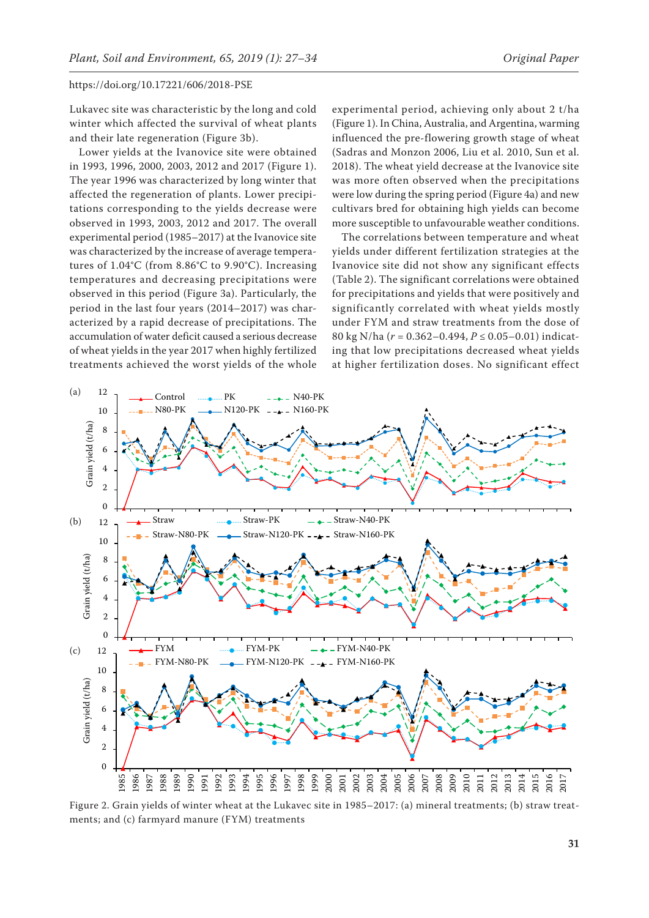Lukavec site was characteristic by the long and cold winter which affected the survival of wheat plants and their late regeneration (Figure 3b).

Lower yields at the Ivanovice site were obtained in 1993, 1996, 2000, 2003, 2012 and 2017 (Figure 1). The year 1996 was characterized by long winter that affected the regeneration of plants. Lower precipitations corresponding to the yields decrease were observed in 1993, 2003, 2012 and 2017. The overall experimental period (1985–2017) at the Ivanovice site was characterized by the increase of average temperatures of 1.04°C (from 8.86°C to 9.90°C). Increasing temperatures and decreasing precipitations were observed in this period (Figure 3a). Particularly, the period in the last four years  $(2014-2017)$  was char-.<br>acterized by a rapid decrease of precipitations. The accumulation of water deficit caused a serious decrease of wheat yields in the year 2017 when highly fertilized 8 12 treatments achieved the worst yields of the whole e<br>m<br>1  $\overline{\phantom{a}}$  the weight violds of the whole. N80-PK N120-PK N120-PK N120-PK N120-PK  $\overline{\phantom{0}}$ cu<br>'w<br>)

experimental period, achieving only about 2 t/ha (Figure 1). In China, Australia, and Argentina, warming influenced the pre-flowering growth stage of wheat (Sadras and Monzon 2006, Liu et al. 2010, Sun et al. 2018). The wheat yield decrease at the Ivanovice site was more often observed when the precipitations were low during the spring period (Figure 4a) and new cultivars bred for obtaining high yields can become more susceptible to unfavourable weather conditions.

The correlations between temperature and wheat yields under different fertilization strategies at the Ivanovice site did not show any significant effects (Table 2). The significant correlations were obtained for precipitations and yields that were positively and significantly correlated with wheat yields mostly under FYM and straw treatments from the dose of 80 kg N/ha (*r* = 0.362–0.494, *P* ≤ 0.05–0.01) indicating that low precipitations decreased wheat yields at higher fertilization doses. No significant effect



Figure 2. Grain yields of winter wheat at the Lukavec site in 1985–2017: (a) mineral treatments; (b) straw treatments; and (c) farmyard manure (FYM) treatments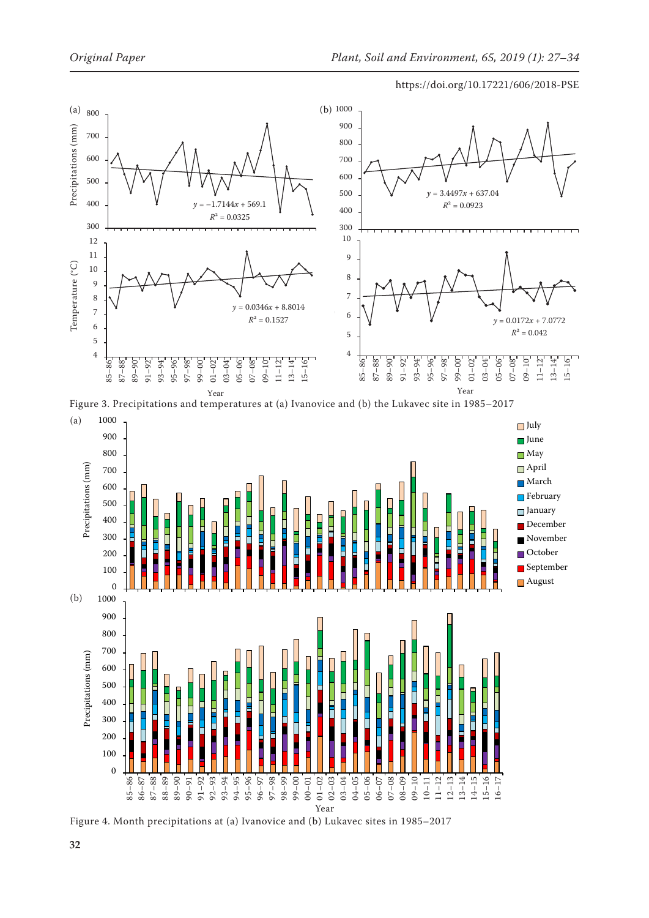

Year<br>Figure 3. Precipitations and temperatures at (a) Ivanovice and (b) the Lukavec site in 1985–2017



Figure 4. Month precipitations at (a) Ivanovice and (b) Lukavec sites in 1985–2017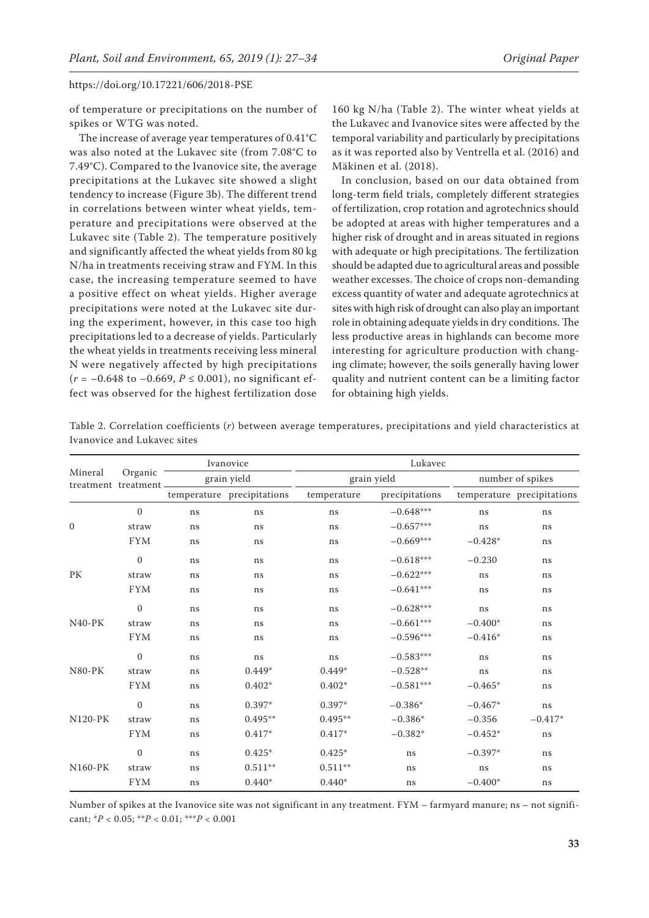of temperature or precipitations on the number of spikes or WTG was noted.

The increase of average year temperatures of 0.41°C was also noted at the Lukavec site (from 7.08°C to 7.49°C). Compared to the Ivanovice site, the average precipitations at the Lukavec site showed a slight tendency to increase (Figure 3b). The different trend in correlations between winter wheat yields, temperature and precipitations were observed at the Lukavec site (Table 2). The temperature positively and significantly affected the wheat yields from 80 kg N/ha in treatments receiving straw and FYM. In this case, the increasing temperature seemed to have a positive effect on wheat yields. Higher average precipitations were noted at the Lukavec site during the experiment, however, in this case too high precipitations led to a decrease of yields. Particularly the wheat yields in treatments receiving less mineral N were negatively affected by high precipitations  $(r = -0.648 \text{ to } -0.669, P \le 0.001)$ , no significant effect was observed for the highest fertilization dose

160 kg N/ha (Table 2). The winter wheat yields at the Lukavec and Ivanovice sites were affected by the temporal variability and particularly by precipitations as it was reported also by Ventrella et al. (2016) and Mäkinen et al. (2018).

In conclusion, based on our data obtained from long-term field trials, completely different strategies of fertilization, crop rotation and agrotechnics should be adopted at areas with higher temperatures and a higher risk of drought and in areas situated in regions with adequate or high precipitations. The fertilization should be adapted due to agricultural areas and possible weather excesses. The choice of crops non-demanding excess quantity of water and adequate agrotechnics at sites with high risk of drought can also play an important role in obtaining adequate yields in dry conditions. The less productive areas in highlands can become more interesting for agriculture production with changing climate; however, the soils generally having lower quality and nutrient content can be a limiting factor for obtaining high yields.

Table 2. Correlation coefficients (*r*) between average temperatures, precipitations and yield characteristics at Ivanovice and Lukavec sites

| Mineral        | Organic<br>treatment treatment- | Ivanovice<br>grain yield |                            | Lukavec     |                |                  |                            |  |
|----------------|---------------------------------|--------------------------|----------------------------|-------------|----------------|------------------|----------------------------|--|
|                |                                 |                          |                            | grain yield |                | number of spikes |                            |  |
|                |                                 |                          | temperature precipitations | temperature | precipitations |                  | temperature precipitations |  |
| $\mathbf{0}$   | $\mathbf{0}$                    | ns                       | ns                         | ns          | $-0.648***$    | ns               | ns                         |  |
|                | straw                           | ns                       | ns                         | ns          | $-0.657***$    | ns               | ns                         |  |
|                | <b>FYM</b>                      | ns                       | ns                         | ns          | $-0.669***$    | $-0.428*$        | ns                         |  |
| PK             | $\mathbf{0}$                    | ns                       | ns                         | ns          | $-0.618***$    | $-0.230$         | ns                         |  |
|                | straw                           | ns                       | ns                         | ns          | $-0.622***$    | ns               | ns                         |  |
|                | <b>FYM</b>                      | ns                       | ns                         | ns          | $-0.641***$    | ns               | ns                         |  |
| $N40-PK$       | $\mathbf{0}$                    | ns                       | ns                         | ns          | $-0.628***$    | ns               | ns                         |  |
|                | straw                           | ns                       | ns                         | ns          | $-0.661***$    | $-0.400*$        | ns                         |  |
|                | <b>FYM</b>                      | ns                       | ns                         | ns          | $-0.596***$    | $-0.416*$        | ns                         |  |
| $N80-PK$       | $\mathbf{0}$                    | ns                       | ns                         | ns          | $-0.583***$    | ns               | ns                         |  |
|                | straw                           | ns                       | $0.449*$                   | $0.449*$    | $-0.528**$     | ns               | ns                         |  |
|                | <b>FYM</b>                      | ns                       | $0.402*$                   | $0.402*$    | $-0.581***$    | $-0.465*$        | ns                         |  |
| <b>N120-PK</b> | $\mathbf{0}$                    | ns                       | $0.397*$                   | $0.397*$    | $-0.386*$      | $-0.467*$        | ns                         |  |
|                | straw                           | ns                       | $0.495**$                  | $0.495**$   | $-0.386*$      | $-0.356$         | $-0.417*$                  |  |
|                | ${\rm FYM}$                     | ns                       | $0.417*$                   | $0.417*$    | $-0.382*$      | $-0.452*$        | ns                         |  |
| $N160-PK$      | $\mathbf{0}$                    | ns                       | $0.425*$                   | $0.425*$    | ns             | $-0.397*$        | ns                         |  |
|                | straw                           | ns                       | $0.511**$                  | $0.511**$   | ns             | ns               | ns                         |  |
|                | <b>FYM</b>                      | ns                       | $0.440*$                   | $0.440*$    | ns             | $-0.400*$        | ns                         |  |

Number of spikes at the Ivanovice site was not significant in any treatment. FYM – farmyard manure; ns – not significant; \**P* < 0.05; \*\**P* < 0.01; \*\*\**P* < 0.001